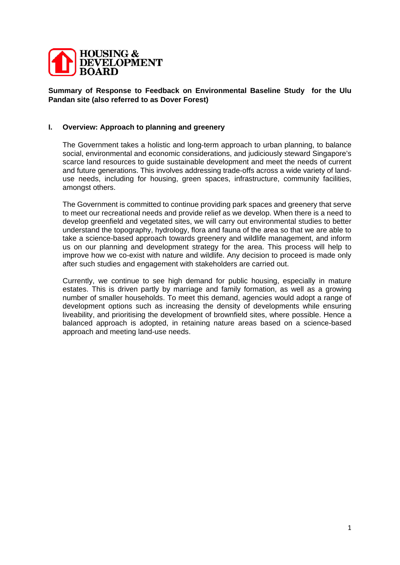

## **Summary of Response to Feedback on Environmental Baseline Study for the Ulu Pandan site (also referred to as Dover Forest)**

### **I. Overview: Approach to planning and greenery**

The Government takes a holistic and long-term approach to urban planning, to balance social, environmental and economic considerations, and judiciously steward Singapore's scarce land resources to guide sustainable development and meet the needs of current and future generations. This involves addressing trade-offs across a wide variety of landuse needs, including for housing, green spaces, infrastructure, community facilities, amongst others.

The Government is committed to continue providing park spaces and greenery that serve to meet our recreational needs and provide relief as we develop. When there is a need to develop greenfield and vegetated sites, we will carry out environmental studies to better understand the topography, hydrology, flora and fauna of the area so that we are able to take a science-based approach towards greenery and wildlife management, and inform us on our planning and development strategy for the area. This process will help to improve how we co-exist with nature and wildlife. Any decision to proceed is made only after such studies and engagement with stakeholders are carried out.

Currently, we continue to see high demand for public housing, especially in mature estates. This is driven partly by marriage and family formation, as well as a growing number of smaller households. To meet this demand, agencies would adopt a range of development options such as increasing the density of developments while ensuring liveability, and prioritising the development of brownfield sites, where possible. Hence a balanced approach is adopted, in retaining nature areas based on a science-based approach and meeting land-use needs.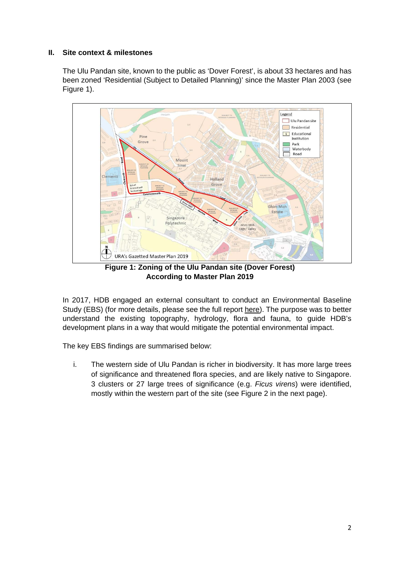## **II. Site context & milestones**

The Ulu Pandan site, known to the public as 'Dover Forest', is about 33 hectares and has been zoned 'Residential (Subject to Detailed Planning)' since the Master Plan 2003 (see Figure 1).



**Figure 1: Zoning of the Ulu Pandan site (Dover Forest) According to Master Plan 2019**

In 2017, HDB engaged an external consultant to conduct an Environmental Baseline Study (EBS) (for more details, please see the full report [here\)](https://www.hdb.gov.sg/-/media/doc/BIG/ulu-pandan-estate.pdf). The purpose was to better understand the existing topography, hydrology, flora and fauna, to guide HDB's development plans in a way that would mitigate the potential environmental impact.

The key EBS findings are summarised below:

i. The western side of Ulu Pandan is richer in biodiversity. It has more large trees of significance and threatened flora species, and are likely native to Singapore. 3 clusters or 27 large trees of significance (e.g. *Ficus virens*) were identified, mostly within the western part of the site (see Figure 2 in the next page).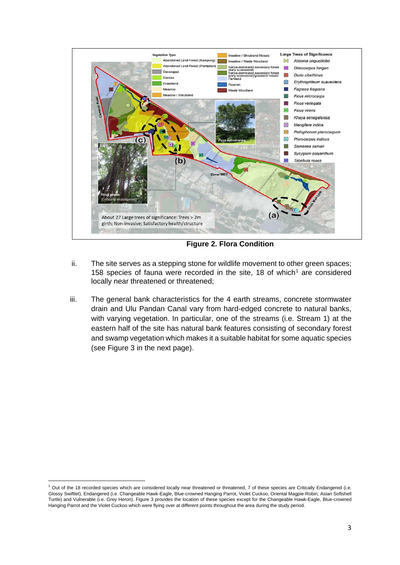

**Figure 2. Flora Condition**

- ii. The site serves as a stepping stone for wildlife movement to other green spaces; [1](#page-2-0)58 species of fauna were recorded in the site, 18 of which<sup>1</sup> are considered locally near threatened or threatened;
- iii. The general bank characteristics for the 4 earth streams, concrete stormwater drain and Ulu Pandan Canal vary from hard-edged concrete to natural banks, with varying vegetation. In particular, one of the streams (i.e. Stream 1) at the eastern half of the site has natural bank features consisting of secondary forest and swamp vegetation which makes it a suitable habitat for some aquatic species (see Figure 3 in the next page).

<span id="page-2-0"></span><sup>&</sup>lt;sup>1</sup> Out of the 18 recorded species which are considered locally near threatened or threatened, 7 of these species are Critically Endangered (i.e. Glossy Swiftlet), Endangered (i.e. Changeable Hawk-Eagle, Blue-crowned Hanging Parrot, Violet Cuckoo, Oriental Magpie-Robin, Asian Softshell Turtle) and Vulnerable (i.e. Grey Heron). Figure 3 provides the location of these species except for the Changeable Hawk-Eagle, Blue-crowned Hanging Parrot and the Violet Cuckoo which were flying over at different points throughout the area during the study period.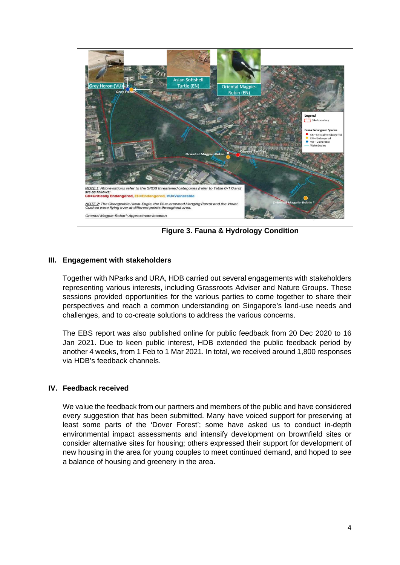

**Figure 3. Fauna & Hydrology Condition**

# **III. Engagement with stakeholders**

Together with NParks and URA, HDB carried out several engagements with stakeholders representing various interests, including Grassroots Adviser and Nature Groups. These sessions provided opportunities for the various parties to come together to share their perspectives and reach a common understanding on Singapore's land-use needs and challenges, and to co-create solutions to address the various concerns.

The EBS report was also published online for public feedback from 20 Dec 2020 to 16 Jan 2021. Due to keen public interest, HDB extended the public feedback period by another 4 weeks, from 1 Feb to 1 Mar 2021. In total, we received around 1,800 responses via HDB's feedback channels.

### **IV. Feedback received**

We value the feedback from our partners and members of the public and have considered every suggestion that has been submitted. Many have voiced support for preserving at least some parts of the 'Dover Forest'; some have asked us to conduct in-depth environmental impact assessments and intensify development on brownfield sites or consider alternative sites for housing; others expressed their support for development of new housing in the area for young couples to meet continued demand, and hoped to see a balance of housing and greenery in the area.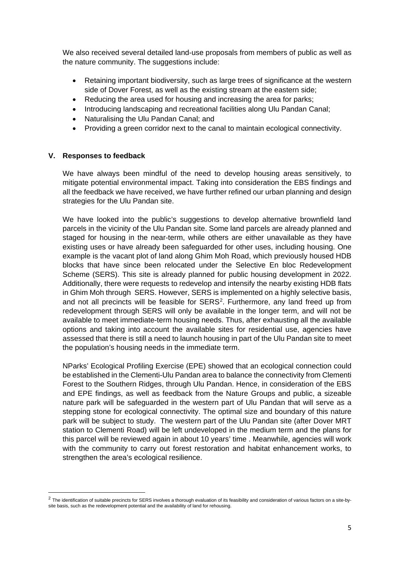We also received several detailed land-use proposals from members of public as well as the nature community. The suggestions include:

- Retaining important biodiversity, such as large trees of significance at the western side of Dover Forest, as well as the existing stream at the eastern side;
- Reducing the area used for housing and increasing the area for parks;
- Introducing landscaping and recreational facilities along Ulu Pandan Canal;
- Naturalising the Ulu Pandan Canal; and
- Providing a green corridor next to the canal to maintain ecological connectivity.

### **V. Responses to feedback**

We have always been mindful of the need to develop housing areas sensitively, to mitigate potential environmental impact. Taking into consideration the EBS findings and all the feedback we have received, we have further refined our urban planning and design strategies for the Ulu Pandan site.

We have looked into the public's suggestions to develop alternative brownfield land parcels in the vicinity of the Ulu Pandan site. Some land parcels are already planned and staged for housing in the near-term, while others are either unavailable as they have existing uses or have already been safeguarded for other uses, including housing. One example is the vacant plot of land along Ghim Moh Road, which previously housed HDB blocks that have since been relocated under the Selective En bloc Redevelopment Scheme (SERS). This site is already planned for public housing development in 2022. Additionally, there were requests to redevelop and intensify the nearby existing HDB flats in Ghim Moh through SERS. However, SERS is implemented on a highly selective basis, and not all precincts will be feasible for SERS[2](#page-4-0). Furthermore, any land freed up from redevelopment through SERS will only be available in the longer term, and will not be available to meet immediate-term housing needs. Thus, after exhausting all the available options and taking into account the available sites for residential use, agencies have assessed that there is still a need to launch housing in part of the Ulu Pandan site to meet the population's housing needs in the immediate term.

NParks' Ecological Profiling Exercise (EPE) showed that an ecological connection could be established in the Clementi-Ulu Pandan area to balance the connectivity from Clementi Forest to the Southern Ridges, through Ulu Pandan. Hence, in consideration of the EBS and EPE findings, as well as feedback from the Nature Groups and public, a sizeable nature park will be safeguarded in the western part of Ulu Pandan that will serve as a stepping stone for ecological connectivity. The optimal size and boundary of this nature park will be subject to study. The western part of the Ulu Pandan site (after Dover MRT station to Clementi Road) will be left undeveloped in the medium term and the plans for this parcel will be reviewed again in about 10 years' time . Meanwhile, agencies will work with the community to carry out forest restoration and habitat enhancement works, to strengthen the area's ecological resilience.

<span id="page-4-0"></span><sup>&</sup>lt;sup>2</sup> The identification of suitable precincts for SERS involves a thorough evaluation of its feasibility and consideration of various factors on a site-bysite basis, such as the redevelopment potential and the availability of land for rehousing.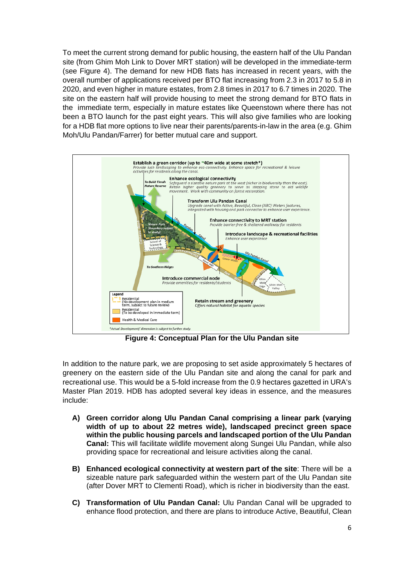To meet the current strong demand for public housing, the eastern half of the Ulu Pandan site (from Ghim Moh Link to Dover MRT station) will be developed in the immediate-term (see Figure 4). The demand for new HDB flats has increased in recent years, with the overall number of applications received per BTO flat increasing from 2.3 in 2017 to 5.8 in 2020, and even higher in mature estates, from 2.8 times in 2017 to 6.7 times in 2020. The site on the eastern half will provide housing to meet the strong demand for BTO flats in the immediate term, especially in mature estates like Queenstown where there has not been a BTO launch for the past eight years. This will also give families who are looking for a HDB flat more options to live near their parents/parents-in-law in the area (e.g. Ghim Moh/Ulu Pandan/Farrer) for better mutual care and support.



**Figure 4: Conceptual Plan for the Ulu Pandan site**

In addition to the nature park, we are proposing to set aside approximately 5 hectares of greenery on the eastern side of the Ulu Pandan site and along the canal for park and recreational use. This would be a 5-fold increase from the 0.9 hectares gazetted in URA's Master Plan 2019. HDB has adopted several key ideas in essence, and the measures include:

- **A) Green corridor along Ulu Pandan Canal comprising a linear park (varying width of up to about 22 metres wide), landscaped precinct green space within the public housing parcels and landscaped portion of the Ulu Pandan Canal:** This will facilitate wildlife movement along Sungei Ulu Pandan, while also providing space for recreational and leisure activities along the canal.
- **B) Enhanced ecological connectivity at western part of the site**: There will be a sizeable nature park safeguarded within the western part of the Ulu Pandan site (after Dover MRT to Clementi Road), which is richer in biodiversity than the east.
- **C) Transformation of Ulu Pandan Canal:** Ulu Pandan Canal will be upgraded to enhance flood protection, and there are plans to introduce Active, Beautiful, Clean